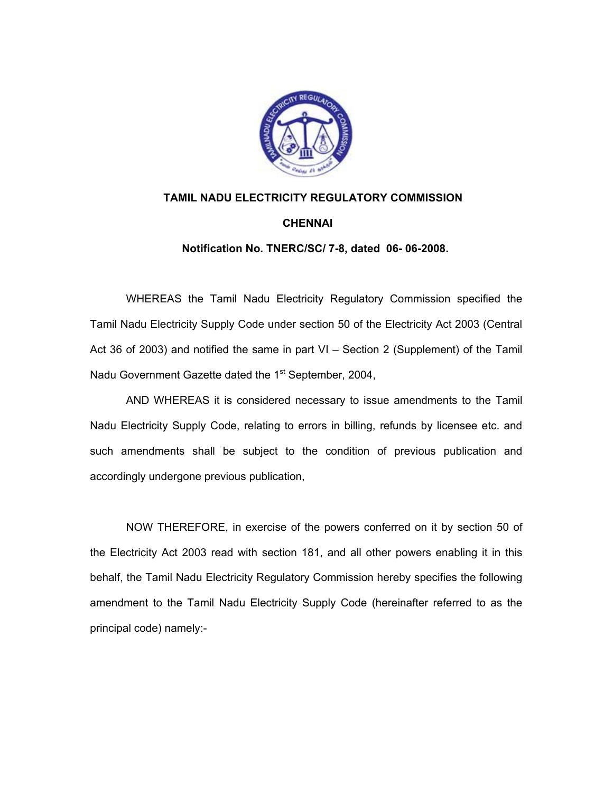

## **TAMIL NADU ELECTRICITY REGULATORY COMMISSION CHENNAI**

 **Notification No. TNERC/SC/ 7-8, dated 06- 06-2008.** 

 WHEREAS the Tamil Nadu Electricity Regulatory Commission specified the Tamil Nadu Electricity Supply Code under section 50 of the Electricity Act 2003 (Central Act 36 of 2003) and notified the same in part VI – Section 2 (Supplement) of the Tamil Nadu Government Gazette dated the 1<sup>st</sup> September, 2004,

 AND WHEREAS it is considered necessary to issue amendments to the Tamil Nadu Electricity Supply Code, relating to errors in billing, refunds by licensee etc. and such amendments shall be subject to the condition of previous publication and accordingly undergone previous publication,

 NOW THEREFORE, in exercise of the powers conferred on it by section 50 of the Electricity Act 2003 read with section 181, and all other powers enabling it in this behalf, the Tamil Nadu Electricity Regulatory Commission hereby specifies the following amendment to the Tamil Nadu Electricity Supply Code (hereinafter referred to as the principal code) namely:-